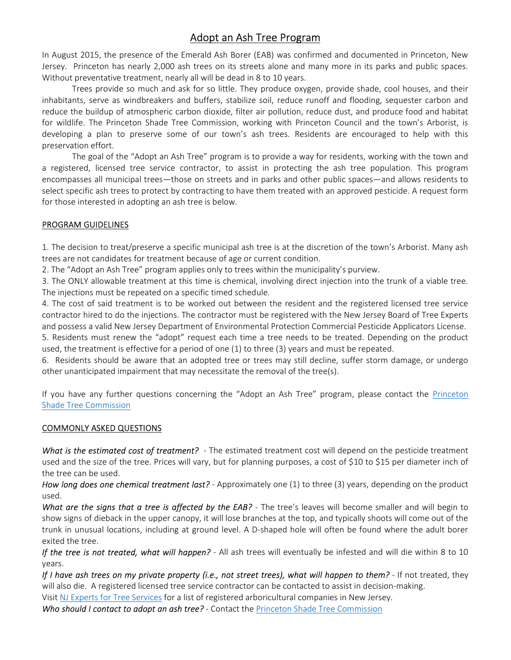# Adopt an Ash Tree Program

In August 2015, the presence of the Emerald Ash Borer (EAB) was confirmed and documented in Princeton, New Jersey. Princeton has nearly 2,000 ash trees on its streets alone and many more in its parks and public spaces. Without preventative treatment, nearly all will be dead in 8 to 10 years.

 Trees provide so much and ask for so little. They produce oxygen, provide shade, cool houses, and their inhabitants, serve as windbreakers and buffers, stabilize soil, reduce runoff and flooding, sequester carbon and reduce the buildup of atmospheric carbon dioxide, filter air pollution, reduce dust, and produce food and habitat for wildlife. The Princeton Shade Tree Commission, working with Princeton Council and the town's Arborist, is developing a plan to preserve some of our town's ash trees. Residents are encouraged to help with this preservation effort.

 The goal of the "Adopt an Ash Tree" program is to provide a way for residents, working with the town and a registered, licensed tree service contractor, to assist in protecting the ash tree population. This program encompasses all municipal trees—those on streets and in parks and other public spaces—and allows residents to select specific ash trees to protect by contracting to have them treated with an approved pesticide. A request form for those interested in adopting an ash tree is below.

#### PROGRAM GUIDELINES

1. The decision to treat/preserve a specific municipal ash tree is at the discretion of the town's Arborist. Many ash trees are not candidates for treatment because of age or current condition.

2. The "Adopt an Ash Tree" program applies only to trees within the municipality's purview.

3. The ONLY allowable treatment at this time is chemical, involving direct injection into the trunk of a viable tree. The injections must be repeated on a specific timed schedule.

4. The cost of said treatment is to be worked out between the resident and the registered licensed tree service contractor hired to do the injections. The contractor must be registered with the New Jersey Board of Tree Experts and possess a valid New Jersey Department of Environmental Protection Commercial Pesticide Applicators License.

5. Residents must renew the "adopt" request each time a tree needs to be treated. Depending on the product used, the treatment is effective for a period of one (1) to three (3) years and must be repeated.

6. Residents should be aware that an adopted tree or trees may still decline, suffer storm damage, or undergo other unanticipated impairment that may necessitate the removal of the tree(s).

If you have any further questions concerning the "Adopt an Ash Tree" program, please contact the Princeton Shade Tree Commission

#### COMMONLY ASKED QUESTIONS

What is the estimated cost of treatment? - The estimated treatment cost will depend on the pesticide treatment used and the size of the tree. Prices will vary, but for planning purposes, a cost of \$10 to \$15 per diameter inch of the tree can be used.

How long does one chemical treatment last? - Approximately one (1) to three (3) years, depending on the product used.

What are the signs that a tree is affected by the EAB? - The tree's leaves will become smaller and will begin to show signs of dieback in the upper canopy, it will lose branches at the top, and typically shoots will come out of the trunk in unusual locations, including at ground level. A D-shaped hole will often be found where the adult borer exited the tree.

If the tree is not treated, what will happen? - All ash trees will eventually be infested and will die within 8 to 10 years.

If I have ash trees on my private property (i.e., not street trees), what will happen to them? - If not treated, they will also die. A registered licensed tree service contractor can be contacted to assist in decision-making.

Visit NJ Experts for Tree Services for a list of registered arboricultural companies in New Jersey.

Who should I contact to adopt an ash tree? - Contact the Princeton Shade Tree Commission